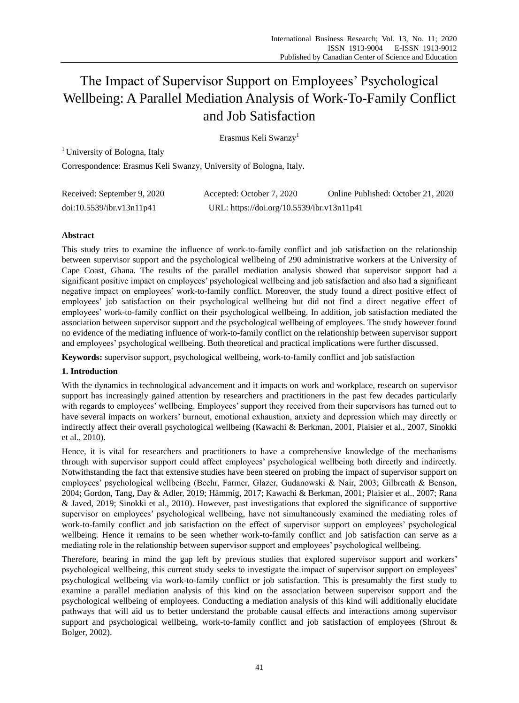# The Impact of Supervisor Support on Employees" Psychological Wellbeing: A Parallel Mediation Analysis of Work-To-Family Conflict and Job Satisfaction

Erasmus Keli Swanzy<sup>1</sup>

<sup>1</sup> University of Bologna, Italy

Correspondence: Erasmus Keli Swanzy, University of Bologna, Italy.

| Received: September 9, 2020 | Accepted: October 7, 2020                  | Online Published: October 21, 2020 |
|-----------------------------|--------------------------------------------|------------------------------------|
| doi:10.5539/ibr.v13n11p41   | URL: https://doi.org/10.5539/ibr.v13n11p41 |                                    |

# **Abstract**

This study tries to examine the influence of work-to-family conflict and job satisfaction on the relationship between supervisor support and the psychological wellbeing of 290 administrative workers at the University of Cape Coast, Ghana. The results of the parallel mediation analysis showed that supervisor support had a significant positive impact on employees" psychological wellbeing and job satisfaction and also had a significant negative impact on employees' work-to-family conflict. Moreover, the study found a direct positive effect of employees" job satisfaction on their psychological wellbeing but did not find a direct negative effect of employees" work-to-family conflict on their psychological wellbeing. In addition, job satisfaction mediated the association between supervisor support and the psychological wellbeing of employees. The study however found no evidence of the mediating influence of work-to-family conflict on the relationship between supervisor support and employees" psychological wellbeing. Both theoretical and practical implications were further discussed.

**Keywords:** supervisor support, psychological wellbeing, work-to-family conflict and job satisfaction

# **1. Introduction**

With the dynamics in technological advancement and it impacts on work and workplace, research on supervisor support has increasingly gained attention by researchers and practitioners in the past few decades particularly with regards to employees' wellbeing. Employees' support they received from their supervisors has turned out to have several impacts on workers" burnout, emotional exhaustion, anxiety and depression which may directly or indirectly affect their overall psychological wellbeing (Kawachi & Berkman, 2001, Plaisier et al., 2007, Sinokki et al., 2010).

Hence, it is vital for researchers and practitioners to have a comprehensive knowledge of the mechanisms through with supervisor support could affect employees" psychological wellbeing both directly and indirectly. Notwithstanding the fact that extensive studies have been steered on probing the impact of supervisor support on employees" psychological wellbeing (Beehr, Farmer, Glazer, Gudanowski & Nair, 2003; Gilbreath & Benson, 2004; Gordon, Tang, Day & Adler, 2019; Hämmig, 2017; Kawachi & Berkman, 2001; Plaisier et al., 2007; Rana & Javed, 2019; Sinokki et al., 2010). However, past investigations that explored the significance of supportive supervisor on employees' psychological wellbeing, have not simultaneously examined the mediating roles of work-to-family conflict and job satisfaction on the effect of supervisor support on employees" psychological wellbeing. Hence it remains to be seen whether work-to-family conflict and job satisfaction can serve as a mediating role in the relationship between supervisor support and employees" psychological wellbeing.

Therefore, bearing in mind the gap left by previous studies that explored supervisor support and workers" psychological wellbeing, this current study seeks to investigate the impact of supervisor support on employees" psychological wellbeing via work-to-family conflict or job satisfaction. This is presumably the first study to examine a parallel mediation analysis of this kind on the association between supervisor support and the psychological wellbeing of employees. Conducting a mediation analysis of this kind will additionally elucidate pathways that will aid us to better understand the probable causal effects and interactions among supervisor support and psychological wellbeing, work-to-family conflict and job satisfaction of employees (Shrout & Bolger, 2002).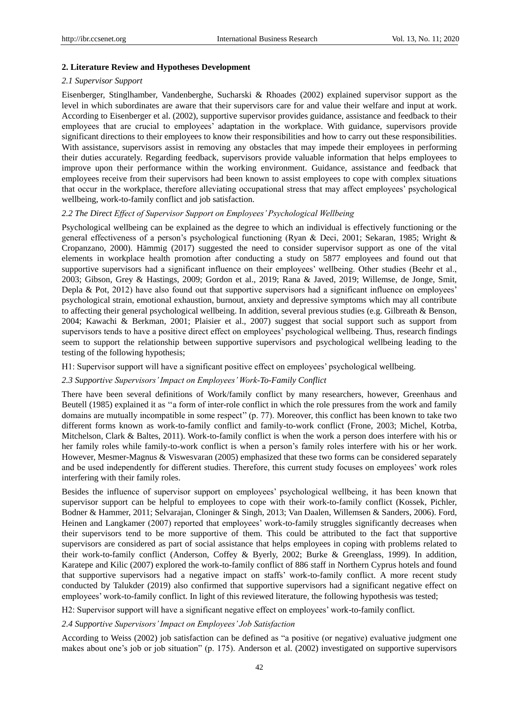#### **2. Literature Review and Hypotheses Development**

#### *2.1 Supervisor Support*

Eisenberger, Stinglhamber, Vandenberghe, Sucharski & Rhoades (2002) explained supervisor support as the level in which subordinates are aware that their supervisors care for and value their welfare and input at work. According to Eisenberger et al. (2002), supportive supervisor provides guidance, assistance and feedback to their employees that are crucial to employees" adaptation in the workplace. With guidance, supervisors provide significant directions to their employees to know their responsibilities and how to carry out these responsibilities. With assistance, supervisors assist in removing any obstacles that may impede their employees in performing their duties accurately. Regarding feedback, supervisors provide valuable information that helps employees to improve upon their performance within the working environment. Guidance, assistance and feedback that employees receive from their supervisors had been known to assist employees to cope with complex situations that occur in the workplace, therefore alleviating occupational stress that may affect employees" psychological wellbeing, work-to-family conflict and job satisfaction.

#### *2.2 The Direct Effect of Supervisor Support on Employees' Psychological Wellbeing*

Psychological wellbeing can be explained as the degree to which an individual is effectively functioning or the general effectiveness of a person"s psychological functioning (Ryan & Deci, 2001; Sekaran, 1985; Wright & Cropanzano, 2000). Hämmig (2017) suggested the need to consider supervisor support as one of the vital elements in workplace health promotion after conducting a study on 5877 employees and found out that supportive supervisors had a significant influence on their employees' wellbeing. Other studies (Beehr et al., 2003; Gibson, Grey & Hastings, 2009; Gordon et al., 2019; Rana & Javed, 2019; Willemse, de Jonge, Smit, Depla & Pot, 2012) have also found out that supportive supervisors had a significant influence on employees' psychological strain, emotional exhaustion, burnout, anxiety and depressive symptoms which may all contribute to affecting their general psychological wellbeing. In addition, several previous studies (e.g. Gilbreath & Benson, 2004; Kawachi & Berkman, 2001; Plaisier et al., 2007) suggest that social support such as support from supervisors tends to have a positive direct effect on employees' psychological wellbeing. Thus, research findings seem to support the relationship between supportive supervisors and psychological wellbeing leading to the testing of the following hypothesis;

H1: Supervisor support will have a significant positive effect on employees" psychological wellbeing.

#### *2.3 Supportive Supervisors' Impact on Employees' Work-To-Family Conflict*

There have been several definitions of Work/family conflict by many researchers, however, Greenhaus and Beutell (1985) explained it as "a form of inter-role conflict in which the role pressures from the work and family domains are mutually incompatible in some respect" (p. 77). Moreover, this conflict has been known to take two different forms known as work-to-family conflict and family-to-work conflict (Frone, 2003; Michel, Kotrba, Mitchelson, Clark & Baltes, 2011). Work-to-family conflict is when the work a person does interfere with his or her family roles while family-to-work conflict is when a person's family roles interfere with his or her work. However, Mesmer-Magnus & Viswesvaran (2005) emphasized that these two forms can be considered separately and be used independently for different studies. Therefore, this current study focuses on employees' work roles interfering with their family roles.

Besides the influence of supervisor support on employees" psychological wellbeing, it has been known that supervisor support can be helpful to employees to cope with their work-to-family conflict (Kossek, Pichler, Bodner & Hammer, 2011; Selvarajan, Cloninger & Singh, 2013; Van Daalen, Willemsen & Sanders, 2006). Ford, Heinen and Langkamer (2007) reported that employees' work-to-family struggles significantly decreases when their supervisors tend to be more supportive of them. This could be attributed to the fact that supportive supervisors are considered as part of social assistance that helps employees in coping with problems related to their work-to-family conflict (Anderson, Coffey & Byerly, 2002; Burke & Greenglass, 1999). In addition, Karatepe and Kilic (2007) explored the work-to-family conflict of 886 staff in Northern Cyprus hotels and found that supportive supervisors had a negative impact on staffs" work-to-family conflict. A more recent study conducted by Talukder (2019) also confirmed that supportive supervisors had a significant negative effect on employees" work-to-family conflict. In light of this reviewed literature, the following hypothesis was tested;

H2: Supervisor support will have a significant negative effect on employees" work-to-family conflict.

## *2.4 Supportive Supervisors' Impact on Employees' Job Satisfaction*

According to Weiss (2002) job satisfaction can be defined as "a positive (or negative) evaluative judgment one makes about one's job or job situation" (p. 175). Anderson et al. (2002) investigated on supportive supervisors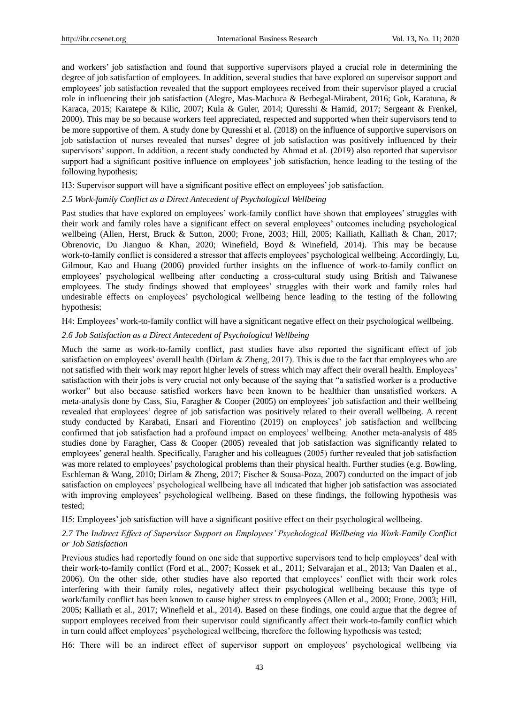and workers" job satisfaction and found that supportive supervisors played a crucial role in determining the degree of job satisfaction of employees. In addition, several studies that have explored on supervisor support and employees" job satisfaction revealed that the support employees received from their supervisor played a crucial role in influencing their job satisfaction (Alegre, Mas-Machuca & Berbegal-Mirabent, 2016; Gok, Karatuna, & Karaca, 2015; Karatepe & Kilic, 2007; Kula & Guler, 2014; Quresshi & Hamid, 2017; Sergeant & Frenkel, 2000). This may be so because workers feel appreciated, respected and supported when their supervisors tend to be more supportive of them. A study done by Quresshi et al. (2018) on the influence of supportive supervisors on job satisfaction of nurses revealed that nurses" degree of job satisfaction was positively influenced by their supervisors' support. In addition, a recent study conducted by Ahmad et al. (2019) also reported that supervisor support had a significant positive influence on employees' job satisfaction, hence leading to the testing of the following hypothesis;

H3: Supervisor support will have a significant positive effect on employees" job satisfaction.

# *2.5 Work-family Conflict as a Direct Antecedent of Psychological Wellbeing*

Past studies that have explored on employees' work-family conflict have shown that employees' struggles with their work and family roles have a significant effect on several employees" outcomes including psychological wellbeing (Allen, Herst, Bruck & Sutton, 2000; Frone, 2003; Hill, 2005; Kalliath, Kalliath & Chan, 2017; Obrenovic, Du Jianguo & Khan, 2020; Winefield, Boyd & Winefield, 2014). This may be because work-to-family conflict is considered a stressor that affects employees' psychological wellbeing. Accordingly, Lu, Gilmour, Kao and Huang (2006) provided further insights on the influence of work-to-family conflict on employees" psychological wellbeing after conducting a cross-cultural study using British and Taiwanese employees. The study findings showed that employees" struggles with their work and family roles had undesirable effects on employees" psychological wellbeing hence leading to the testing of the following hypothesis;

H4: Employees" work-to-family conflict will have a significant negative effect on their psychological wellbeing.

# *2.6 Job Satisfaction as a Direct Antecedent of Psychological Wellbeing*

Much the same as work-to-family conflict, past studies have also reported the significant effect of job satisfaction on employees' overall health (Dirlam & Zheng, 2017). This is due to the fact that employees who are not satisfied with their work may report higher levels of stress which may affect their overall health. Employees" satisfaction with their jobs is very crucial not only because of the saying that "a satisfied worker is a productive worker" but also because satisfied workers have been known to be healthier than unsatisfied workers. A meta-analysis done by Cass, Siu, Faragher & Cooper (2005) on employees" job satisfaction and their wellbeing revealed that employees" degree of job satisfaction was positively related to their overall wellbeing. A recent study conducted by Karabati, Ensari and Fiorentino (2019) on employees" job satisfaction and wellbeing confirmed that job satisfaction had a profound impact on employees" wellbeing. Another meta-analysis of 485 studies done by Faragher, Cass & Cooper (2005) revealed that job satisfaction was significantly related to employees' general health. Specifically, Faragher and his colleagues (2005) further revealed that job satisfaction was more related to employees' psychological problems than their physical health. Further studies (e.g. Bowling, Eschleman & Wang, 2010; Dirlam & Zheng, 2017; Fischer & Sousa-Poza, 2007) conducted on the impact of job satisfaction on employees" psychological wellbeing have all indicated that higher job satisfaction was associated with improving employees" psychological wellbeing. Based on these findings, the following hypothesis was tested;

H5: Employees" job satisfaction will have a significant positive effect on their psychological wellbeing.

# *2.7 The Indirect Effect of Supervisor Support on Employees' Psychological Wellbeing via Work-Family Conflict or Job Satisfaction*

Previous studies had reportedly found on one side that supportive supervisors tend to help employees" deal with their work-to-family conflict (Ford et al., 2007; Kossek et al., 2011; Selvarajan et al., 2013; Van Daalen et al., 2006). On the other side, other studies have also reported that employees" conflict with their work roles interfering with their family roles, negatively affect their psychological wellbeing because this type of work/family conflict has been known to cause higher stress to employees (Allen et al., 2000; Frone, 2003; Hill, 2005; Kalliath et al., 2017; Winefield et al., 2014). Based on these findings, one could argue that the degree of support employees received from their supervisor could significantly affect their work-to-family conflict which in turn could affect employees" psychological wellbeing, therefore the following hypothesis was tested;

H6: There will be an indirect effect of supervisor support on employees" psychological wellbeing via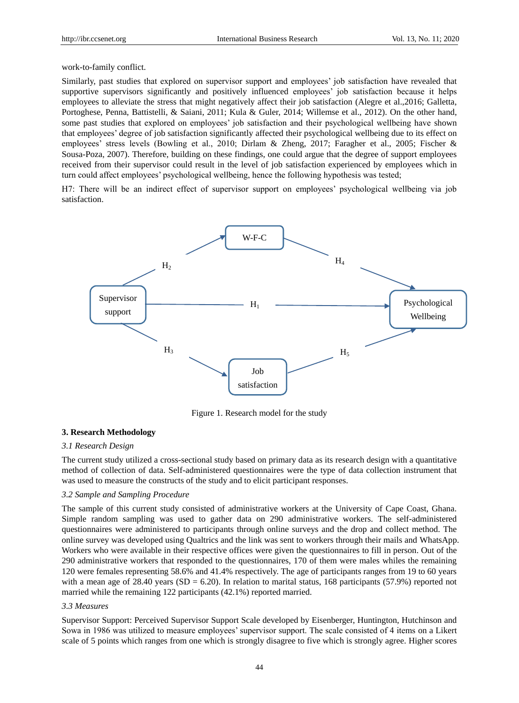work-to-family conflict.

Similarly, past studies that explored on supervisor support and employees" job satisfaction have revealed that supportive supervisors significantly and positively influenced employees' job satisfaction because it helps employees to alleviate the stress that might negatively affect their job satisfaction (Alegre et al.,2016; Galletta, Portoghese, Penna, Battistelli, & Saiani, 2011; Kula & Guler, 2014; Willemse et al., 2012). On the other hand, some past studies that explored on employees' job satisfaction and their psychological wellbeing have shown that employees" degree of job satisfaction significantly affected their psychological wellbeing due to its effect on employees" stress levels (Bowling et al., 2010; Dirlam & Zheng, 2017; Faragher et al., 2005; Fischer & Sousa-Poza, 2007). Therefore, building on these findings, one could argue that the degree of support employees received from their supervisor could result in the level of job satisfaction experienced by employees which in turn could affect employees" psychological wellbeing, hence the following hypothesis was tested;

H7: There will be an indirect effect of supervisor support on employees" psychological wellbeing via job satisfaction.



Figure 1. Research model for the study

# **3. Research Methodology**

# *3.1 Research Design*

The current study utilized a cross-sectional study based on primary data as its research design with a quantitative method of collection of data. Self-administered questionnaires were the type of data collection instrument that was used to measure the constructs of the study and to elicit participant responses.

### *3.2 Sample and Sampling Procedure*

The sample of this current study consisted of administrative workers at the University of Cape Coast, Ghana. Simple random sampling was used to gather data on 290 administrative workers. The self-administered questionnaires were administered to participants through online surveys and the drop and collect method. The online survey was developed using Qualtrics and the link was sent to workers through their mails and WhatsApp. Workers who were available in their respective offices were given the questionnaires to fill in person. Out of the 290 administrative workers that responded to the questionnaires, 170 of them were males whiles the remaining 120 were females representing 58.6% and 41.4% respectively. The age of participants ranges from 19 to 60 years with a mean age of 28.40 years (SD = 6.20). In relation to marital status, 168 participants (57.9%) reported not married while the remaining 122 participants (42.1%) reported married.

#### *3.3 Measures*

Supervisor Support: Perceived Supervisor Support Scale developed by Eisenberger, Huntington, Hutchinson and Sowa in 1986 was utilized to measure employees" supervisor support. The scale consisted of 4 items on a Likert scale of 5 points which ranges from one which is strongly disagree to five which is strongly agree. Higher scores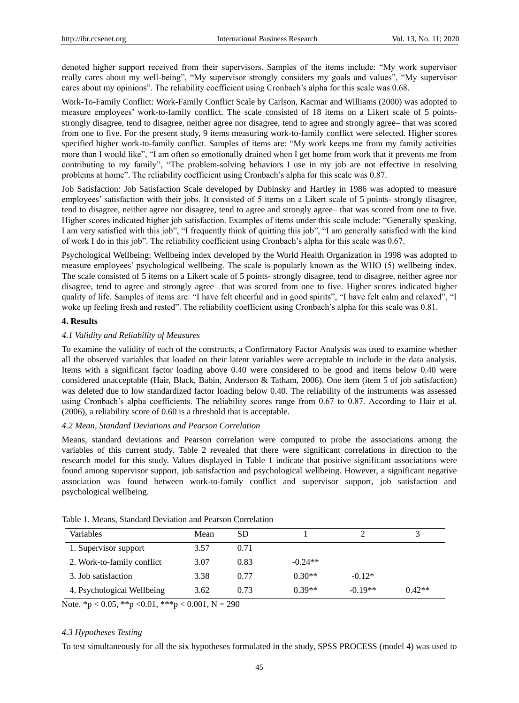denoted higher support received from their supervisors. Samples of the items include: "My work supervisor really cares about my well-being", "My supervisor strongly considers my goals and values", "My supervisor cares about my opinions". The reliability coefficient using Cronbach"s alpha for this scale was 0.68.

Work-To-Family Conflict: Work-Family Conflict Scale by Carlson, Kacmar and Williams (2000) was adopted to measure employees" work-to-family conflict. The scale consisted of 18 items on a Likert scale of 5 pointsstrongly disagree, tend to disagree, neither agree nor disagree, tend to agree and strongly agree– that was scored from one to five. For the present study, 9 items measuring work-to-family conflict were selected. Higher scores specified higher work-to-family conflict. Samples of items are: "My work keeps me from my family activities more than I would like", "I am often so emotionally drained when I get home from work that it prevents me from contributing to my family", "The problem-solving behaviors I use in my job are not effective in resolving problems at home". The reliability coefficient using Cronbach"s alpha for this scale was 0.87.

Job Satisfaction: Job Satisfaction Scale developed by Dubinsky and Hartley in 1986 was adopted to measure employees" satisfaction with their jobs. It consisted of 5 items on a Likert scale of 5 points- strongly disagree, tend to disagree, neither agree nor disagree, tend to agree and strongly agree– that was scored from one to five. Higher scores indicated higher job satisfaction. Examples of items under this scale include: "Generally speaking, I am very satisfied with this job", "I frequently think of quitting this job", "I am generally satisfied with the kind of work I do in this job". The reliability coefficient using Cronbach"s alpha for this scale was 0.67.

Psychological Wellbeing: Wellbeing index developed by the World Health Organization in 1998 was adopted to measure employees" psychological wellbeing. The scale is popularly known as the WHO (5) wellbeing index. The scale consisted of 5 items on a Likert scale of 5 points- strongly disagree, tend to disagree, neither agree nor disagree, tend to agree and strongly agree– that was scored from one to five. Higher scores indicated higher quality of life. Samples of items are: "I have felt cheerful and in good spirits", "I have felt calm and relaxed", "I woke up feeling fresh and rested". The reliability coefficient using Cronbach's alpha for this scale was 0.81.

# **4. Results**

# *4.1 Validity and Reliability of Measures*

To examine the validity of each of the constructs, a Confirmatory Factor Analysis was used to examine whether all the observed variables that loaded on their latent variables were acceptable to include in the data analysis. Items with a significant factor loading above 0.40 were considered to be good and items below 0.40 were considered unacceptable (Hair, Black, Babin, Anderson & Tatham, 2006). One item (item 5 of job satisfaction) was deleted due to low standardized factor loading below 0.40. The reliability of the instruments was assessed using Cronbach's alpha coefficients. The reliability scores range from 0.67 to 0.87. According to Hair et al. (2006), a reliability score of 0.60 is a threshold that is acceptable.

# *4.2 Mean, Standard Deviations and Pearson Correlation*

Means, standard deviations and Pearson correlation were computed to probe the associations among the variables of this current study. Table 2 revealed that there were significant correlations in direction to the research model for this study. Values displayed in Table 1 indicate that positive significant associations were found among supervisor support, job satisfaction and psychological wellbeing. However, a significant negative association was found between work-to-family conflict and supervisor support, job satisfaction and psychological wellbeing.

| Variables                  | Mean | SD   |           |           |          |
|----------------------------|------|------|-----------|-----------|----------|
| 1. Supervisor support      | 3.57 | 0.71 |           |           |          |
| 2. Work-to-family conflict | 3.07 | 0.83 | $-0.24**$ |           |          |
| 3. Job satisfaction        | 3.38 | 0.77 | $0.30**$  | $-0.12*$  |          |
| 4. Psychological Wellbeing | 3.62 | 0.73 | $0.39**$  | $-0.19**$ | $0.42**$ |

Table 1. Means, Standard Deviation and Pearson Correlation

Note. \*p < 0.05, \*\*p < 0.01, \*\*\*p < 0.001, N = 290

# *4.3 Hypotheses Testing*

To test simultaneously for all the six hypotheses formulated in the study, SPSS PROCESS (model 4) was used to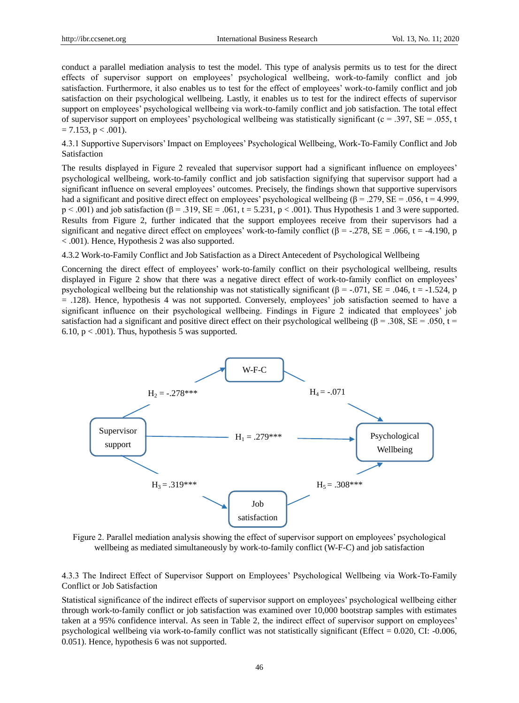conduct a parallel mediation analysis to test the model. This type of analysis permits us to test for the direct effects of supervisor support on employees" psychological wellbeing, work-to-family conflict and job satisfaction. Furthermore, it also enables us to test for the effect of employees' work-to-family conflict and job satisfaction on their psychological wellbeing. Lastly, it enables us to test for the indirect effects of supervisor support on employees" psychological wellbeing via work-to-family conflict and job satisfaction. The total effect of supervisor support on employees' psychological wellbeing was statistically significant ( $c = .397$ ,  $SE = .055$ , t  $= 7.153$ , p  $< .001$ ).

4.3.1 Supportive Supervisors" Impact on Employees" Psychological Wellbeing, Work-To-Family Conflict and Job Satisfaction

The results displayed in Figure 2 revealed that supervisor support had a significant influence on employees' psychological wellbeing, work-to-family conflict and job satisfaction signifying that supervisor support had a significant influence on several employees" outcomes. Precisely, the findings shown that supportive supervisors had a significant and positive direct effect on employees' psychological wellbeing ( $\beta = .279$ ,  $SE = .056$ ,  $t = 4.999$ ,  $p < .001$ ) and job satisfaction ( $\beta = .319$ ,  $SE = .061$ ,  $t = 5.231$ ,  $p < .001$ ). Thus Hypothesis 1 and 3 were supported. Results from Figure 2, further indicated that the support employees receive from their supervisors had a significant and negative direct effect on employees' work-to-family conflict ( $\beta$  = -.278, SE = .066, t = -4.190, p < .001). Hence, Hypothesis 2 was also supported.

4.3.2 Work-to-Family Conflict and Job Satisfaction as a Direct Antecedent of Psychological Wellbeing

Concerning the direct effect of employees" work-to-family conflict on their psychological wellbeing, results displayed in Figure 2 show that there was a negative direct effect of work-to-family conflict on employees' psychological wellbeing but the relationship was not statistically significant ( $\beta$  = -.071, SE = .046, t = -1.524, p = .128). Hence, hypothesis 4 was not supported. Conversely, employees" job satisfaction seemed to have a significant influence on their psychological wellbeing. Findings in Figure 2 indicated that employees" job satisfaction had a significant and positive direct effect on their psychological wellbeing ( $\beta$  = .308, SE = .050, t = 6.10,  $p < .001$ ). Thus, hypothesis 5 was supported.



Figure 2. Parallel mediation analysis showing the effect of supervisor support on employees' psychological wellbeing as mediated simultaneously by work-to-family conflict (W-F-C) and job satisfaction

4.3.3 The Indirect Effect of Supervisor Support on Employees" Psychological Wellbeing via Work-To-Family Conflict or Job Satisfaction

Statistical significance of the indirect effects of supervisor support on employees" psychological wellbeing either through work-to-family conflict or job satisfaction was examined over 10,000 bootstrap samples with estimates taken at a 95% confidence interval. As seen in Table 2, the indirect effect of supervisor support on employees" psychological wellbeing via work-to-family conflict was not statistically significant (Effect = 0.020, CI: -0.006, 0.051). Hence, hypothesis 6 was not supported.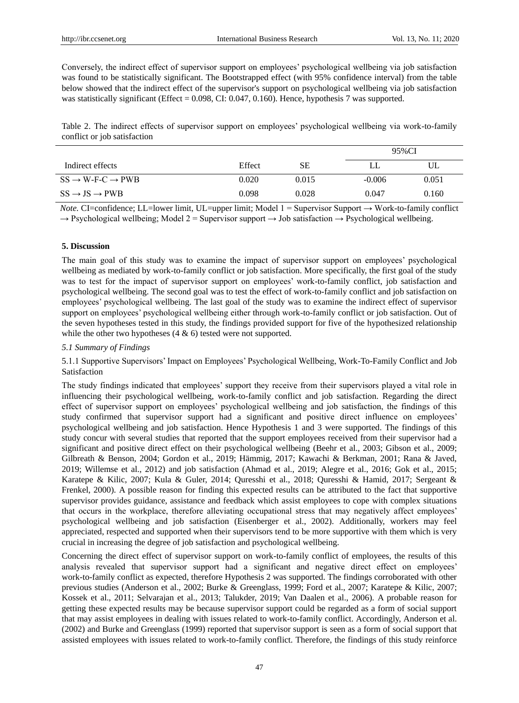Conversely, the indirect effect of supervisor support on employees" psychological wellbeing via job satisfaction was found to be statistically significant. The Bootstrapped effect (with 95% confidence interval) from the table below showed that the indirect effect of the supervisor's support on psychological wellbeing via job satisfaction was statistically significant (Effect =  $0.098$ , CI:  $0.047$ ,  $0.160$ ). Hence, hypothesis 7 was supported.

Table 2. The indirect effects of supervisor support on employees" psychological wellbeing via work-to-family conflict or job satisfaction

|                                                      |        |       | 95%CI    |       |
|------------------------------------------------------|--------|-------|----------|-------|
| Indirect effects                                     | Effect | SЕ    |          | UL    |
| $SS \rightarrow W\text{-}F\text{-}C \rightarrow PWB$ | 0.020  | 0.015 | $-0.006$ | 0.051 |
| $SS \rightarrow JS \rightarrow PWB$                  | 0.098  | 0.028 | 0.047    | 0.160 |

*Note.* CI=confidence; LL=lower limit, UL=upper limit; Model 1 = Supervisor Support → Work-to-family conflict  $\rightarrow$  Psychological wellbeing; Model 2 = Supervisor support  $\rightarrow$  Job satisfaction  $\rightarrow$  Psychological wellbeing.

# **5. Discussion**

The main goal of this study was to examine the impact of supervisor support on employees" psychological wellbeing as mediated by work-to-family conflict or job satisfaction. More specifically, the first goal of the study was to test for the impact of supervisor support on employees' work-to-family conflict, job satisfaction and psychological wellbeing. The second goal was to test the effect of work-to-family conflict and job satisfaction on employees" psychological wellbeing. The last goal of the study was to examine the indirect effect of supervisor support on employees" psychological wellbeing either through work-to-family conflict or job satisfaction. Out of the seven hypotheses tested in this study, the findings provided support for five of the hypothesized relationship while the other two hypotheses  $(4 \& 6)$  tested were not supported.

# *5.1 Summary of Findings*

5.1.1 Supportive Supervisors" Impact on Employees" Psychological Wellbeing, Work-To-Family Conflict and Job Satisfaction

The study findings indicated that employees" support they receive from their supervisors played a vital role in influencing their psychological wellbeing, work-to-family conflict and job satisfaction. Regarding the direct effect of supervisor support on employees" psychological wellbeing and job satisfaction, the findings of this study confirmed that supervisor support had a significant and positive direct influence on employees" psychological wellbeing and job satisfaction. Hence Hypothesis 1 and 3 were supported. The findings of this study concur with several studies that reported that the support employees received from their supervisor had a significant and positive direct effect on their psychological wellbeing (Beehr et al., 2003; Gibson et al., 2009; Gilbreath & Benson, 2004; Gordon et al., 2019; Hämmig, 2017; Kawachi & Berkman, 2001; Rana & Javed, 2019; Willemse et al., 2012) and job satisfaction (Ahmad et al., 2019; Alegre et al., 2016; Gok et al., 2015; Karatepe & Kilic, 2007; Kula & Guler, 2014; Quresshi et al., 2018; Quresshi & Hamid, 2017; Sergeant & Frenkel, 2000). A possible reason for finding this expected results can be attributed to the fact that supportive supervisor provides guidance, assistance and feedback which assist employees to cope with complex situations that occurs in the workplace, therefore alleviating occupational stress that may negatively affect employees' psychological wellbeing and job satisfaction (Eisenberger et al., 2002). Additionally, workers may feel appreciated, respected and supported when their supervisors tend to be more supportive with them which is very crucial in increasing the degree of job satisfaction and psychological wellbeing.

Concerning the direct effect of supervisor support on work-to-family conflict of employees, the results of this analysis revealed that supervisor support had a significant and negative direct effect on employees" work-to-family conflict as expected, therefore Hypothesis 2 was supported. The findings corroborated with other previous studies (Anderson et al., 2002; Burke & Greenglass, 1999; Ford et al., 2007; Karatepe & Kilic, 2007; Kossek et al., 2011; Selvarajan et al., 2013; Talukder, 2019; Van Daalen et al., 2006). A probable reason for getting these expected results may be because supervisor support could be regarded as a form of social support that may assist employees in dealing with issues related to work-to-family conflict. Accordingly, Anderson et al. (2002) and Burke and Greenglass (1999) reported that supervisor support is seen as a form of social support that assisted employees with issues related to work-to-family conflict. Therefore, the findings of this study reinforce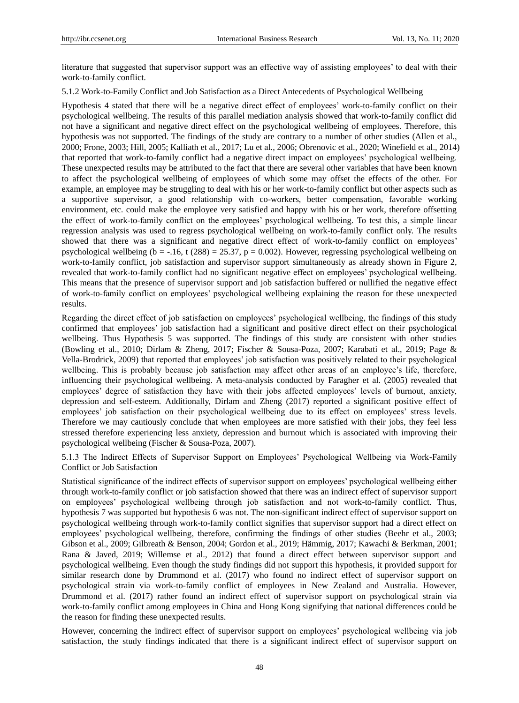literature that suggested that supervisor support was an effective way of assisting employees" to deal with their work-to-family conflict.

# 5.1.2 Work-to-Family Conflict and Job Satisfaction as a Direct Antecedents of Psychological Wellbeing

Hypothesis 4 stated that there will be a negative direct effect of employees" work-to-family conflict on their psychological wellbeing. The results of this parallel mediation analysis showed that work-to-family conflict did not have a significant and negative direct effect on the psychological wellbeing of employees. Therefore, this hypothesis was not supported. The findings of the study are contrary to a number of other studies (Allen et al., 2000; Frone, 2003; Hill, 2005; Kalliath et al., 2017; Lu et al., 2006; Obrenovic et al., 2020; Winefield et al., 2014) that reported that work-to-family conflict had a negative direct impact on employees" psychological wellbeing. These unexpected results may be attributed to the fact that there are several other variables that have been known to affect the psychological wellbeing of employees of which some may offset the effects of the other. For example, an employee may be struggling to deal with his or her work-to-family conflict but other aspects such as a supportive supervisor, a good relationship with co-workers, better compensation, favorable working environment, etc. could make the employee very satisfied and happy with his or her work, therefore offsetting the effect of work-to-family conflict on the employees" psychological wellbeing. To test this, a simple linear regression analysis was used to regress psychological wellbeing on work-to-family conflict only. The results showed that there was a significant and negative direct effect of work-to-family conflict on employees" psychological wellbeing (b =  $-.16$ , t (288) = 25.37, p = 0.002). However, regressing psychological wellbeing on work-to-family conflict, job satisfaction and supervisor support simultaneously as already shown in Figure 2, revealed that work-to-family conflict had no significant negative effect on employees" psychological wellbeing. This means that the presence of supervisor support and job satisfaction buffered or nullified the negative effect of work-to-family conflict on employees" psychological wellbeing explaining the reason for these unexpected results.

Regarding the direct effect of job satisfaction on employees" psychological wellbeing, the findings of this study confirmed that employees" job satisfaction had a significant and positive direct effect on their psychological wellbeing. Thus Hypothesis 5 was supported. The findings of this study are consistent with other studies (Bowling et al., 2010; Dirlam & Zheng, 2017; Fischer & Sousa-Poza, 2007; Karabati et al., 2019; Page & Vella-Brodrick, 2009) that reported that employees" job satisfaction was positively related to their psychological wellbeing. This is probably because job satisfaction may affect other areas of an employee's life, therefore, influencing their psychological wellbeing. A meta-analysis conducted by Faragher et al. (2005) revealed that employees' degree of satisfaction they have with their jobs affected employees' levels of burnout, anxiety, depression and self-esteem. Additionally, Dirlam and Zheng (2017) reported a significant positive effect of employees' job satisfaction on their psychological wellbeing due to its effect on employees' stress levels. Therefore we may cautiously conclude that when employees are more satisfied with their jobs, they feel less stressed therefore experiencing less anxiety, depression and burnout which is associated with improving their psychological wellbeing (Fischer & Sousa-Poza, 2007).

5.1.3 The Indirect Effects of Supervisor Support on Employees" Psychological Wellbeing via Work-Family Conflict or Job Satisfaction

Statistical significance of the indirect effects of supervisor support on employees" psychological wellbeing either through work-to-family conflict or job satisfaction showed that there was an indirect effect of supervisor support on employees" psychological wellbeing through job satisfaction and not work-to-family conflict. Thus, hypothesis 7 was supported but hypothesis 6 was not. The non-significant indirect effect of supervisor support on psychological wellbeing through work-to-family conflict signifies that supervisor support had a direct effect on employees" psychological wellbeing, therefore, confirming the findings of other studies (Beehr et al., 2003; Gibson et al., 2009; Gilbreath & Benson, 2004; Gordon et al., 2019; Hämmig, 2017; Kawachi & Berkman, 2001; Rana & Javed, 2019; Willemse et al., 2012) that found a direct effect between supervisor support and psychological wellbeing. Even though the study findings did not support this hypothesis, it provided support for similar research done by Drummond et al. (2017) who found no indirect effect of supervisor support on psychological strain via work-to-family conflict of employees in New Zealand and Australia. However, Drummond et al. (2017) rather found an indirect effect of supervisor support on psychological strain via work-to-family conflict among employees in China and Hong Kong signifying that national differences could be the reason for finding these unexpected results.

However, concerning the indirect effect of supervisor support on employees" psychological wellbeing via job satisfaction, the study findings indicated that there is a significant indirect effect of supervisor support on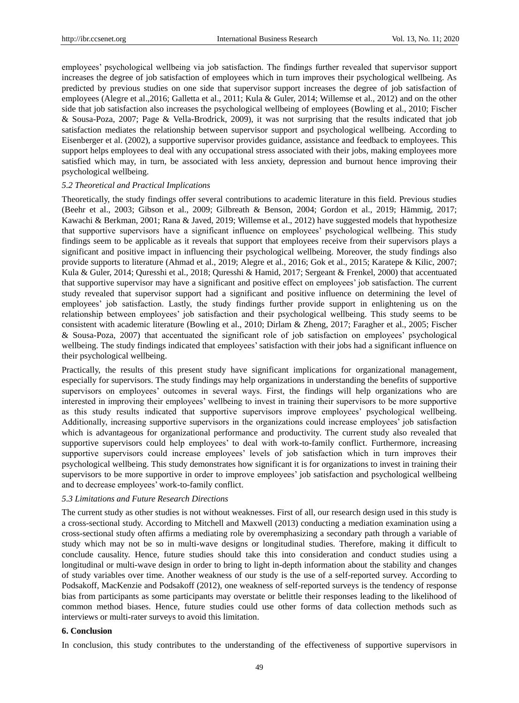employees" psychological wellbeing via job satisfaction. The findings further revealed that supervisor support increases the degree of job satisfaction of employees which in turn improves their psychological wellbeing. As predicted by previous studies on one side that supervisor support increases the degree of job satisfaction of employees (Alegre et al.,2016; Galletta et al., 2011; Kula & Guler, 2014; Willemse et al., 2012) and on the other side that job satisfaction also increases the psychological wellbeing of employees (Bowling et al., 2010; Fischer & Sousa-Poza, 2007; Page & Vella-Brodrick, 2009), it was not surprising that the results indicated that job satisfaction mediates the relationship between supervisor support and psychological wellbeing. According to Eisenberger et al. (2002), a supportive supervisor provides guidance, assistance and feedback to employees. This support helps employees to deal with any occupational stress associated with their jobs, making employees more satisfied which may, in turn, be associated with less anxiety, depression and burnout hence improving their psychological wellbeing.

# *5.2 Theoretical and Practical Implications*

Theoretically, the study findings offer several contributions to academic literature in this field. Previous studies (Beehr et al., 2003; Gibson et al., 2009; Gilbreath & Benson, 2004; Gordon et al., 2019; Hämmig, 2017; Kawachi & Berkman, 2001; Rana & Javed, 2019; Willemse et al., 2012) have suggested models that hypothesize that supportive supervisors have a significant influence on employees" psychological wellbeing. This study findings seem to be applicable as it reveals that support that employees receive from their supervisors plays a significant and positive impact in influencing their psychological wellbeing. Moreover, the study findings also provide supports to literature (Ahmad et al., 2019; Alegre et al., 2016; Gok et al., 2015; Karatepe & Kilic, 2007; Kula & Guler, 2014; Quresshi et al., 2018; Quresshi & Hamid, 2017; Sergeant & Frenkel, 2000) that accentuated that supportive supervisor may have a significant and positive effect on employees" job satisfaction. The current study revealed that supervisor support had a significant and positive influence on determining the level of employees" job satisfaction. Lastly, the study findings further provide support in enlightening us on the relationship between employees" job satisfaction and their psychological wellbeing. This study seems to be consistent with academic literature (Bowling et al., 2010; Dirlam & Zheng, 2017; Faragher et al., 2005; Fischer & Sousa-Poza, 2007) that accentuated the significant role of job satisfaction on employees" psychological wellbeing. The study findings indicated that employees' satisfaction with their jobs had a significant influence on their psychological wellbeing.

Practically, the results of this present study have significant implications for organizational management, especially for supervisors. The study findings may help organizations in understanding the benefits of supportive supervisors on employees' outcomes in several ways. First, the findings will help organizations who are interested in improving their employees" wellbeing to invest in training their supervisors to be more supportive as this study results indicated that supportive supervisors improve employees' psychological wellbeing. Additionally, increasing supportive supervisors in the organizations could increase employees" job satisfaction which is advantageous for organizational performance and productivity. The current study also revealed that supportive supervisors could help employees' to deal with work-to-family conflict. Furthermore, increasing supportive supervisors could increase employees" levels of job satisfaction which in turn improves their psychological wellbeing. This study demonstrates how significant it is for organizations to invest in training their supervisors to be more supportive in order to improve employees' job satisfaction and psychological wellbeing and to decrease employees' work-to-family conflict.

# *5.3 Limitations and Future Research Directions*

The current study as other studies is not without weaknesses. First of all, our research design used in this study is a cross-sectional study. According to Mitchell and Maxwell (2013) conducting a mediation examination using a cross-sectional study often affirms a mediating role by overemphasizing a secondary path through a variable of study which may not be so in multi-wave designs or longitudinal studies. Therefore, making it difficult to conclude causality. Hence, future studies should take this into consideration and conduct studies using a longitudinal or multi-wave design in order to bring to light in-depth information about the stability and changes of study variables over time. Another weakness of our study is the use of a self-reported survey. According to Podsakoff, MacKenzie and Podsakoff (2012), one weakness of self-reported surveys is the tendency of response bias from participants as some participants may overstate or belittle their responses leading to the likelihood of common method biases. Hence, future studies could use other forms of data collection methods such as interviews or multi-rater surveys to avoid this limitation.

## **6. Conclusion**

In conclusion, this study contributes to the understanding of the effectiveness of supportive supervisors in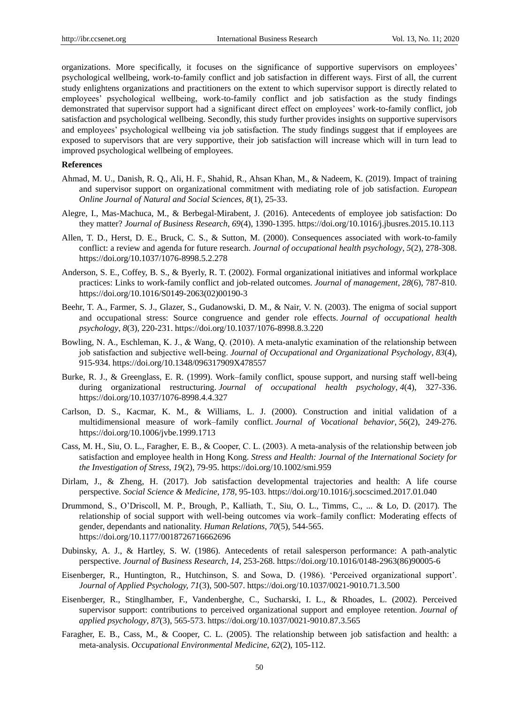organizations. More specifically, it focuses on the significance of supportive supervisors on employees" psychological wellbeing, work-to-family conflict and job satisfaction in different ways. First of all, the current study enlightens organizations and practitioners on the extent to which supervisor support is directly related to employees" psychological wellbeing, work-to-family conflict and job satisfaction as the study findings demonstrated that supervisor support had a significant direct effect on employees" work-to-family conflict, job satisfaction and psychological wellbeing. Secondly, this study further provides insights on supportive supervisors and employees" psychological wellbeing via job satisfaction. The study findings suggest that if employees are exposed to supervisors that are very supportive, their job satisfaction will increase which will in turn lead to improved psychological wellbeing of employees.

# **References**

- Ahmad, M. U., Danish, R. Q., Ali, H. F., Shahid, R., Ahsan Khan, M., & Nadeem, K. (2019). Impact of training and supervisor support on organizational commitment with mediating role of job satisfaction. *European Online Journal of Natural and Social Sciences, 8*(1), 25-33.
- Alegre, I., Mas-Machuca, M., & Berbegal-Mirabent, J. (2016). Antecedents of employee job satisfaction: Do they matter? *Journal of Business Research*, *69*(4), 1390-1395. https://doi.org/10.1016/j.jbusres.2015.10.113
- Allen, T. D., Herst, D. E., Bruck, C. S., & Sutton, M. (2000). Consequences associated with work-to-family conflict: a review and agenda for future research. *Journal of occupational health psychology*, *5*(2), 278-308. https://doi.org/10.1037/1076-8998.5.2.278
- Anderson, S. E., Coffey, B. S., & Byerly, R. T. (2002). Formal organizational initiatives and informal workplace practices: Links to work-family conflict and job-related outcomes. *Journal of management*, *28*(6), 787-810. https://doi.org/10.1016/S0149-2063(02)00190-3
- Beehr, T. A., Farmer, S. J., Glazer, S., Gudanowski, D. M., & Nair, V. N. (2003). The enigma of social support and occupational stress: Source congruence and gender role effects. *Journal of occupational health psychology*, *8*(3), 220-231. https://doi.org/10.1037/1076-8998.8.3.220
- Bowling, N. A., Eschleman, K. J., & Wang, Q. (2010). A meta-analytic examination of the relationship between job satisfaction and subjective well‐being. *Journal of Occupational and Organizational Psychology*, *83*(4), 915-934. https://doi.org/10.1348/096317909X478557
- Burke, R. J., & Greenglass, E. R. (1999). Work–family conflict, spouse support, and nursing staff well-being during organizational restructuring. *Journal of occupational health psychology*, *4*(4), 327-336. https://doi.org/10.1037/1076-8998.4.4.327
- Carlson, D. S., Kacmar, K. M., & Williams, L. J. (2000). Construction and initial validation of a multidimensional measure of work–family conflict. *Journal of Vocational behavior*, *56*(2), 249-276. https://doi.org/10.1006/jvbe.1999.1713
- Cass, M. H., Siu, O. L., Faragher, E. B., & Cooper, C. L. (2003). A meta-analysis of the relationship between job satisfaction and employee health in Hong Kong. *Stress and Health: Journal of the International Society for the Investigation of Stress*, *19*(2), 79-95. https://doi.org/10.1002/smi.959
- Dirlam, J., & Zheng, H. (2017). Job satisfaction developmental trajectories and health: A life course perspective. *Social Science & Medicine*, *178*, 95-103. https://doi.org/10.1016/j.socscimed.2017.01.040
- Drummond, S., O"Driscoll, M. P., Brough, P., Kalliath, T., Siu, O. L., Timms, C., ... & Lo, D. (2017). The relationship of social support with well-being outcomes via work–family conflict: Moderating effects of gender, dependants and nationality. *Human Relations*, *70*(5), 544-565. https://doi.org/10.1177/0018726716662696
- Dubinsky, A. J., & Hartley, S. W. (1986). Antecedents of retail salesperson performance: A path-analytic perspective. *Journal of Business Research*, *14,* 253-268. https://doi.org/10.1016/0148-2963(86)90005-6
- Eisenberger, R., Huntington, R., Hutchinson, S. and Sowa, D. (1986). "Perceived organizational support". *Journal of Applied Psychology, 71*(3), 500-507. https://doi.org/10.1037/0021-9010.71.3.500
- Eisenberger, R., Stinglhamber, F., Vandenberghe, C., Sucharski, I. L., & Rhoades, L. (2002). Perceived supervisor support: contributions to perceived organizational support and employee retention. *Journal of applied psychology*, *87*(3), 565-573. https://doi.org/10.1037/0021-9010.87.3.565
- Faragher, E. B., Cass, M., & Cooper, C. L. (2005). The relationship between job satisfaction and health: a meta-analysis. *Occupational Environmental Medicine*, *62*(2), 105-112.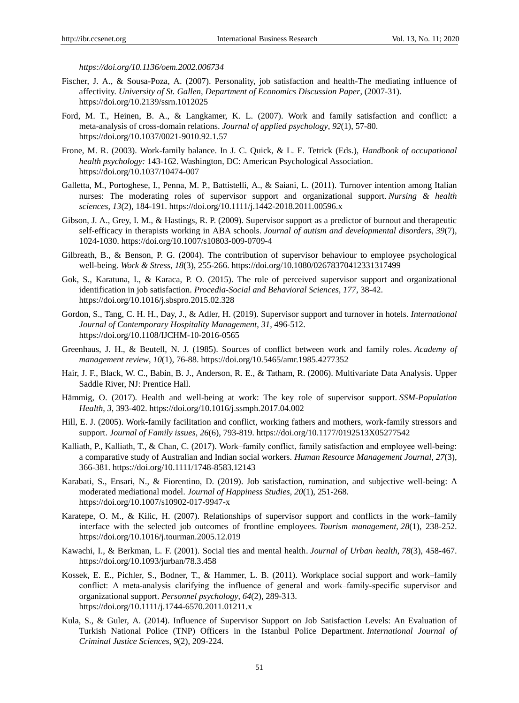*https://doi.org/10.1136/oem.2002.006734*

- Fischer, J. A., & Sousa-Poza, A. (2007). Personality, job satisfaction and health-The mediating influence of affectivity. *University of St. Gallen, Department of Economics Discussion Paper*, (2007-31). https://doi.org/10.2139/ssrn.1012025
- Ford, M. T., Heinen, B. A., & Langkamer, K. L. (2007). Work and family satisfaction and conflict: a meta-analysis of cross-domain relations. *Journal of applied psychology*, *92*(1), 57-80. https://doi.org/10.1037/0021-9010.92.1.57
- Frone, M. R. (2003). Work-family balance. In J. C. Quick, & L. E. Tetrick (Eds.), *Handbook of occupational health psychology:* 143-162. Washington, DC: American Psychological Association. https://doi.org/10.1037/10474-007
- Galletta, M., Portoghese, I., Penna, M. P., Battistelli, A., & Saiani, L. (2011). Turnover intention among Italian nurses: The moderating roles of supervisor support and organizational support. *Nursing & health sciences*, *13*(2), 184-191. https://doi.org/10.1111/j.1442-2018.2011.00596.x
- Gibson, J. A., Grey, I. M., & Hastings, R. P. (2009). Supervisor support as a predictor of burnout and therapeutic self-efficacy in therapists working in ABA schools. *Journal of autism and developmental disorders*, *39*(7), 1024-1030. https://doi.org/10.1007/s10803-009-0709-4
- Gilbreath, B., & Benson, P. G. (2004). The contribution of supervisor behaviour to employee psychological well-being. *Work & Stress*, *18*(3), 255-266. https://doi.org/10.1080/02678370412331317499
- Gok, S., Karatuna, I., & Karaca, P. O. (2015). The role of perceived supervisor support and organizational identification in job satisfaction. *Procedia-Social and Behavioral Sciences*, *177*, 38-42. https://doi.org/10.1016/j.sbspro.2015.02.328
- Gordon, S., Tang, C. H. H., Day, J., & Adler, H. (2019). Supervisor support and turnover in hotels. *International Journal of Contemporary Hospitality Management*, *31*, 496-512. https://doi.org/10.1108/IJCHM-10-2016-0565
- Greenhaus, J. H., & Beutell, N. J. (1985). Sources of conflict between work and family roles. *Academy of management review*, *10*(1), 76-88. https://doi.org/10.5465/amr.1985.4277352
- Hair, J. F., Black, W. C., Babin, B. J., Anderson, R. E., & Tatham, R. (2006). Multivariate Data Analysis. Upper Saddle River, NJ: Prentice Hall.
- Hämmig, O. (2017). Health and well-being at work: The key role of supervisor support. *SSM-Population Health*, *3*, 393-402. https://doi.org/10.1016/j.ssmph.2017.04.002
- Hill, E. J. (2005). Work-family facilitation and conflict, working fathers and mothers, work-family stressors and support. *Journal of Family issues*, *26*(6), 793-819. https://doi.org/10.1177/0192513X05277542
- Kalliath, P., Kalliath, T., & Chan, C. (2017). Work–family conflict, family satisfaction and employee well-being: a comparative study of Australian and Indian social workers. *Human Resource Management Journal*, *27*(3), 366-381. https://doi.org/10.1111/1748-8583.12143
- Karabati, S., Ensari, N., & Fiorentino, D. (2019). Job satisfaction, rumination, and subjective well-being: A moderated mediational model. *Journal of Happiness Studies*, *20*(1), 251-268. https://doi.org/10.1007/s10902-017-9947-x
- Karatepe, O. M., & Kilic, H. (2007). Relationships of supervisor support and conflicts in the work–family interface with the selected job outcomes of frontline employees. *Tourism management*, *28*(1), 238-252. https://doi.org/10.1016/j.tourman.2005.12.019
- Kawachi, I., & Berkman, L. F. (2001). Social ties and mental health. *Journal of Urban health*, *78*(3), 458-467. https://doi.org/10.1093/jurban/78.3.458
- Kossek, E. E., Pichler, S., Bodner, T., & Hammer, L. B. (2011). Workplace social support and work–family conflict: A meta-analysis clarifying the influence of general and work–family-specific supervisor and organizational support. *Personnel psychology*, *64*(2), 289-313. https://doi.org/10.1111/j.1744-6570.2011.01211.x
- Kula, S., & Guler, A. (2014). Influence of Supervisor Support on Job Satisfaction Levels: An Evaluation of Turkish National Police (TNP) Officers in the Istanbul Police Department. *International Journal of Criminal Justice Sciences*, *9*(2), 209-224.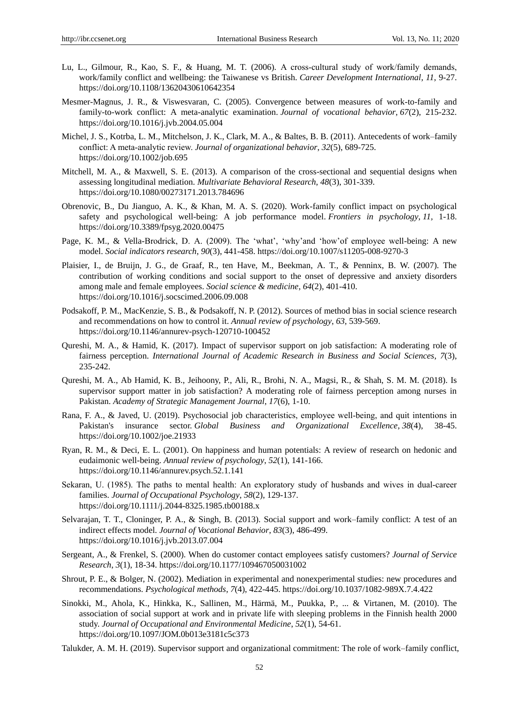- Lu, L., Gilmour, R., Kao, S. F., & Huang, M. T. (2006). A cross-cultural study of work/family demands, work/family conflict and wellbeing: the Taiwanese vs British. *Career Development International*, *11*, 9-27. https://doi.org/10.1108/13620430610642354
- Mesmer-Magnus, J. R., & Viswesvaran, C. (2005). Convergence between measures of work-to-family and family-to-work conflict: A meta-analytic examination. *Journal of vocational behavior*, *67*(2), 215-232. https://doi.org/10.1016/j.jvb.2004.05.004
- Michel, J. S., Kotrba, L. M., Mitchelson, J. K., Clark, M. A., & Baltes, B. B. (2011). Antecedents of work–family conflict: A meta‐analytic review. *Journal of organizational behavior*, *32*(5), 689-725. https://doi.org/10.1002/job.695
- Mitchell, M. A., & Maxwell, S. E. (2013). A comparison of the cross-sectional and sequential designs when assessing longitudinal mediation. *Multivariate Behavioral Research*, *48*(3), 301-339. https://doi.org/10.1080/00273171.2013.784696
- Obrenovic, B., Du Jianguo, A. K., & Khan, M. A. S. (2020). Work-family conflict impact on psychological safety and psychological well-being: A job performance model. *Frontiers in psychology*, *11,* 1-18. https://doi.org/10.3389/fpsyg.2020.00475
- Page, K. M., & Vella-Brodrick, D. A. (2009). The 'what', 'why'and 'how' of employee well-being: A new model. *Social indicators research*, *90*(3), 441-458. https://doi.org/10.1007/s11205-008-9270-3
- Plaisier, I., de Bruijn, J. G., de Graaf, R., ten Have, M., Beekman, A. T., & Penninx, B. W. (2007). The contribution of working conditions and social support to the onset of depressive and anxiety disorders among male and female employees. *Social science & medicine*, *64*(2), 401-410. https://doi.org/10.1016/j.socscimed.2006.09.008
- Podsakoff, P. M., MacKenzie, S. B., & Podsakoff, N. P. (2012). Sources of method bias in social science research and recommendations on how to control it. *Annual review of psychology*, *63*, 539-569. https://doi.org/10.1146/annurev-psych-120710-100452
- Qureshi, M. A., & Hamid, K. (2017). Impact of supervisor support on job satisfaction: A moderating role of fairness perception. *International Journal of Academic Research in Business and Social Sciences*, *7*(3), 235-242.
- Qureshi, M. A., Ab Hamid, K. B., Jeihoony, P., Ali, R., Brohi, N. A., Magsi, R., & Shah, S. M. M. (2018). Is supervisor support matter in job satisfaction? A moderating role of fairness perception among nurses in Pakistan. *Academy of Strategic Management Journal*, *17*(6), 1-10.
- Rana, F. A., & Javed, U. (2019). Psychosocial job characteristics, employee well‐being, and quit intentions in Pakistan's insurance sector. *Global Business and Organizational Excellence*, *38*(4), 38-45. https://doi.org/10.1002/joe.21933
- Ryan, R. M., & Deci, E. L. (2001). On happiness and human potentials: A review of research on hedonic and eudaimonic well-being. *Annual review of psychology*, *52*(1), 141-166. https://doi.org/10.1146/annurev.psych.52.1.141
- Sekaran, U. (1985). The paths to mental health: An exploratory study of husbands and wives in dual‐career families. *Journal of Occupational Psychology*, *58*(2), 129-137. https://doi.org/10.1111/j.2044-8325.1985.tb00188.x
- Selvarajan, T. T., Cloninger, P. A., & Singh, B. (2013). Social support and work–family conflict: A test of an indirect effects model. *Journal of Vocational Behavior*, *83*(3), 486-499. https://doi.org/10.1016/j.jvb.2013.07.004
- Sergeant, A., & Frenkel, S. (2000). When do customer contact employees satisfy customers? *Journal of Service Research*, *3*(1), 18-34. https://doi.org/10.1177/109467050031002
- Shrout, P. E., & Bolger, N. (2002). Mediation in experimental and nonexperimental studies: new procedures and recommendations. *Psychological methods*, *7*(4), 422-445. https://doi.org/10.1037/1082-989X.7.4.422
- Sinokki, M., Ahola, K., Hinkka, K., Sallinen, M., Härmä, M., Puukka, P., ... & Virtanen, M. (2010). The association of social support at work and in private life with sleeping problems in the Finnish health 2000 study. *Journal of Occupational and Environmental Medicine*, *52*(1), 54-61. https://doi.org/10.1097/JOM.0b013e3181c5c373
- Talukder, A. M. H. (2019). Supervisor support and organizational commitment: The role of work–family conflict,